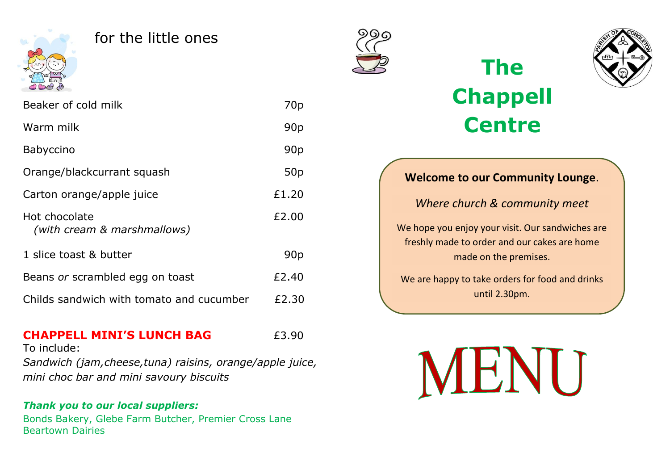

#### for the little ones

Beaker of cold milk 70p

Warm milk 90p

Babyccino 90p

Orange/blackcurrant squash 50p

Carton orange/apple juice E1.20

Hot chocolate **EXALLENT** E2.00

1 slice toast & butter 90p

Beans *or* scrambled egg on toast E2.40

Childs sandwich with tomato and cucumber  $\qquad$  £2.30



# **The Chappell Centre**



*Where church & community meet*

We hope you enjoy your visit. Our sandwiches are freshly made to order and our cakes are home made on the premises.

We are happy to take orders for food and drinks until 2.30pm.

**CHAPPELL MINI'S LUNCH BAG**  $f3.90$ To include: *Sandwich (jam,cheese,tuna) raisins, orange/apple juice, mini choc bar and mini savoury biscuits*

#### *Thank you to our local suppliers:*

*(with cream & marshmallows)*

Bonds Bakery, Glebe Farm Butcher, Premier Cross Lane Beartown Dairies